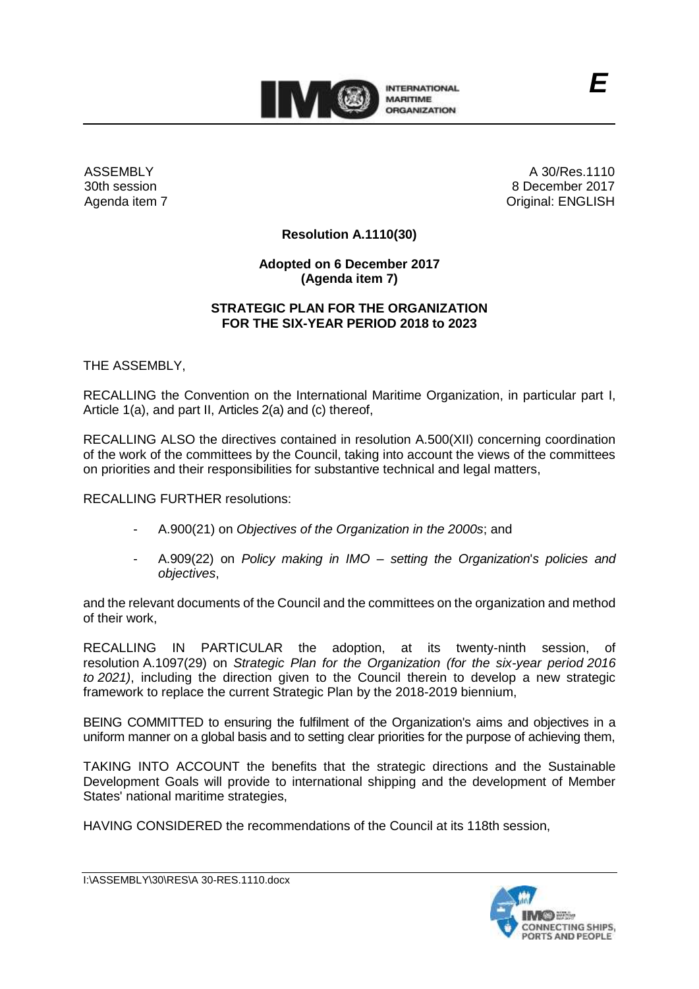

ASSEMBLY 30th session Agenda item 7

A 30/Res.1110 8 December 2017 Original: ENGLISH

*E*

### **Resolution A.1110(30)**

### **Adopted on 6 December 2017 (Agenda item 7)**

#### **STRATEGIC PLAN FOR THE ORGANIZATION FOR THE SIX-YEAR PERIOD 2018 to 2023**

THE ASSEMBLY,

RECALLING the Convention on the International Maritime Organization, in particular part I, Article 1(a), and part II, Articles 2(a) and (c) thereof,

RECALLING ALSO the directives contained in resolution A.500(XII) concerning coordination of the work of the committees by the Council, taking into account the views of the committees on priorities and their responsibilities for substantive technical and legal matters,

RECALLING FURTHER resolutions:

- A.900(21) on *Objectives of the Organization in the 2000s*; and
- A.909(22) on *Policy making in IMO – setting the Organization*'*s policies and objectives*,

and the relevant documents of the Council and the committees on the organization and method of their work,

RECALLING IN PARTICULAR the adoption, at its twenty-ninth session, of resolution A.1097(29) on *Strategic Plan for the Organization (for the six-year period 2016 to 2021)*, including the direction given to the Council therein to develop a new strategic framework to replace the current Strategic Plan by the 2018-2019 biennium,

BEING COMMITTED to ensuring the fulfilment of the Organization's aims and objectives in a uniform manner on a global basis and to setting clear priorities for the purpose of achieving them,

TAKING INTO ACCOUNT the benefits that the strategic directions and the Sustainable Development Goals will provide to international shipping and the development of Member States' national maritime strategies,

HAVING CONSIDERED the recommendations of the Council at its 118th session,

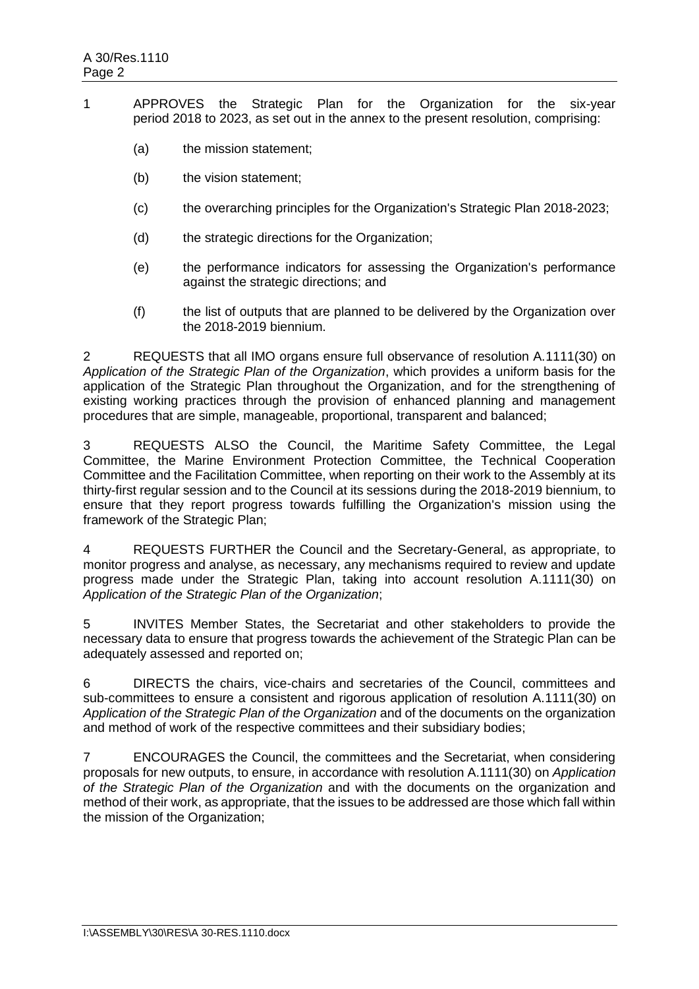- 1 APPROVES the Strategic Plan for the Organization for the six-year period 2018 to 2023, as set out in the annex to the present resolution, comprising:
	- (a) the mission statement;
	- (b) the vision statement:
	- (c) the overarching principles for the Organization's Strategic Plan 2018-2023;
	- (d) the strategic directions for the Organization;
	- (e) the performance indicators for assessing the Organization's performance against the strategic directions; and
	- (f) the list of outputs that are planned to be delivered by the Organization over the 2018-2019 biennium.

2 REQUESTS that all IMO organs ensure full observance of resolution A.1111(30) on *Application of the Strategic Plan of the Organization*, which provides a uniform basis for the application of the Strategic Plan throughout the Organization, and for the strengthening of existing working practices through the provision of enhanced planning and management procedures that are simple, manageable, proportional, transparent and balanced;

3 REQUESTS ALSO the Council, the Maritime Safety Committee, the Legal Committee, the Marine Environment Protection Committee, the Technical Cooperation Committee and the Facilitation Committee, when reporting on their work to the Assembly at its thirty-first regular session and to the Council at its sessions during the 2018-2019 biennium, to ensure that they report progress towards fulfilling the Organization's mission using the framework of the Strategic Plan;

4 REQUESTS FURTHER the Council and the Secretary-General, as appropriate, to monitor progress and analyse, as necessary, any mechanisms required to review and update progress made under the Strategic Plan, taking into account resolution A.1111(30) on *Application of the Strategic Plan of the Organization*;

5 INVITES Member States, the Secretariat and other stakeholders to provide the necessary data to ensure that progress towards the achievement of the Strategic Plan can be adequately assessed and reported on;

6 DIRECTS the chairs, vice-chairs and secretaries of the Council, committees and sub-committees to ensure a consistent and rigorous application of resolution A.1111(30) on *Application of the Strategic Plan of the Organization* and of the documents on the organization and method of work of the respective committees and their subsidiary bodies;

7 ENCOURAGES the Council, the committees and the Secretariat, when considering proposals for new outputs, to ensure, in accordance with resolution A.1111(30) on *Application of the Strategic Plan of the Organization* and with the documents on the organization and method of their work, as appropriate, that the issues to be addressed are those which fall within the mission of the Organization;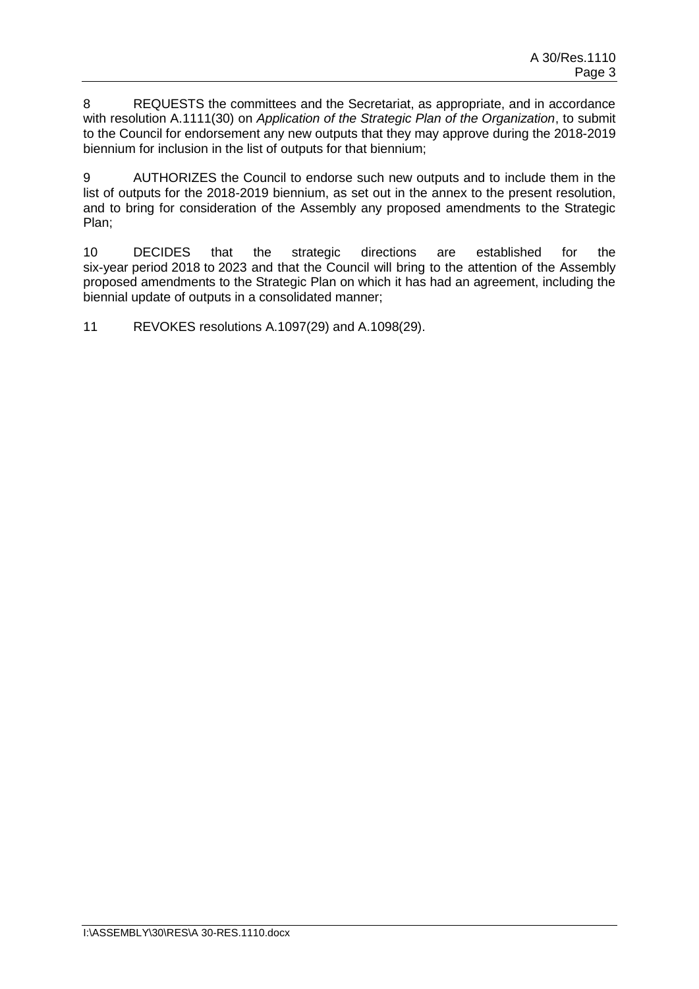8 REQUESTS the committees and the Secretariat, as appropriate, and in accordance with resolution A.1111(30) on *Application of the Strategic Plan of the Organization*, to submit to the Council for endorsement any new outputs that they may approve during the 2018-2019 biennium for inclusion in the list of outputs for that biennium;

9 AUTHORIZES the Council to endorse such new outputs and to include them in the list of outputs for the 2018-2019 biennium, as set out in the annex to the present resolution, and to bring for consideration of the Assembly any proposed amendments to the Strategic Plan;

10 DECIDES that the strategic directions are established for the six-year period 2018 to 2023 and that the Council will bring to the attention of the Assembly proposed amendments to the Strategic Plan on which it has had an agreement, including the biennial update of outputs in a consolidated manner;

11 REVOKES resolutions A.1097(29) and A.1098(29).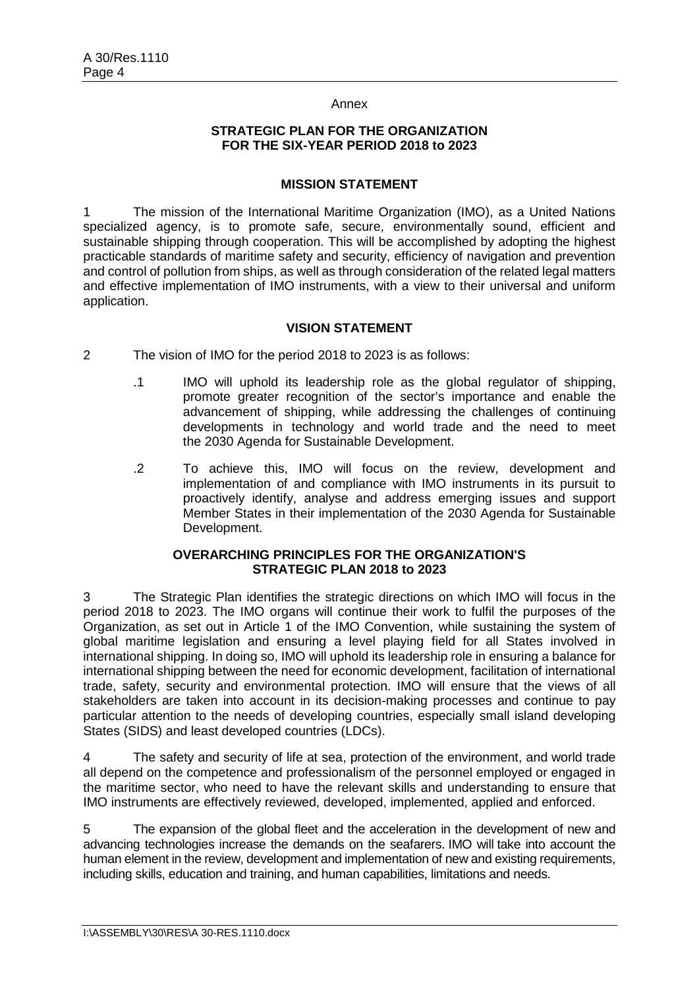#### Annex

#### **STRATEGIC PLAN FOR THE ORGANIZATION FOR THE SIX-YEAR PERIOD 2018 to 2023**

#### **MISSION STATEMENT**

1 The mission of the International Maritime Organization (IMO), as a United Nations specialized agency, is to promote safe, secure, environmentally sound, efficient and sustainable shipping through cooperation. This will be accomplished by adopting the highest practicable standards of maritime safety and security, efficiency of navigation and prevention and control of pollution from ships, as well as through consideration of the related legal matters and effective implementation of IMO instruments, with a view to their universal and uniform application.

### **VISION STATEMENT**

- 2 The vision of IMO for the period 2018 to 2023 is as follows:
	- .1 IMO will uphold its leadership role as the global regulator of shipping, promote greater recognition of the sector's importance and enable the advancement of shipping, while addressing the challenges of continuing developments in technology and world trade and the need to meet the 2030 Agenda for Sustainable Development.
	- .2 To achieve this, IMO will focus on the review, development and implementation of and compliance with IMO instruments in its pursuit to proactively identify, analyse and address emerging issues and support Member States in their implementation of the 2030 Agenda for Sustainable Development.

#### **OVERARCHING PRINCIPLES FOR THE ORGANIZATION'S STRATEGIC PLAN 2018 to 2023**

3 The Strategic Plan identifies the strategic directions on which IMO will focus in the period 2018 to 2023. The IMO organs will continue their work to fulfil the purposes of the Organization, as set out in Article 1 of the IMO Convention, while sustaining the system of global maritime legislation and ensuring a level playing field for all States involved in international shipping. In doing so, IMO will uphold its leadership role in ensuring a balance for international shipping between the need for economic development, facilitation of international trade, safety, security and environmental protection. IMO will ensure that the views of all stakeholders are taken into account in its decision-making processes and continue to pay particular attention to the needs of developing countries, especially small island developing States (SIDS) and least developed countries (LDCs).

4 The safety and security of life at sea, protection of the environment, and world trade all depend on the competence and professionalism of the personnel employed or engaged in the maritime sector, who need to have the relevant skills and understanding to ensure that IMO instruments are effectively reviewed, developed, implemented, applied and enforced.

5 The expansion of the global fleet and the acceleration in the development of new and advancing technologies increase the demands on the seafarers. IMO will take into account the human element in the review, development and implementation of new and existing requirements, including skills, education and training, and human capabilities, limitations and needs.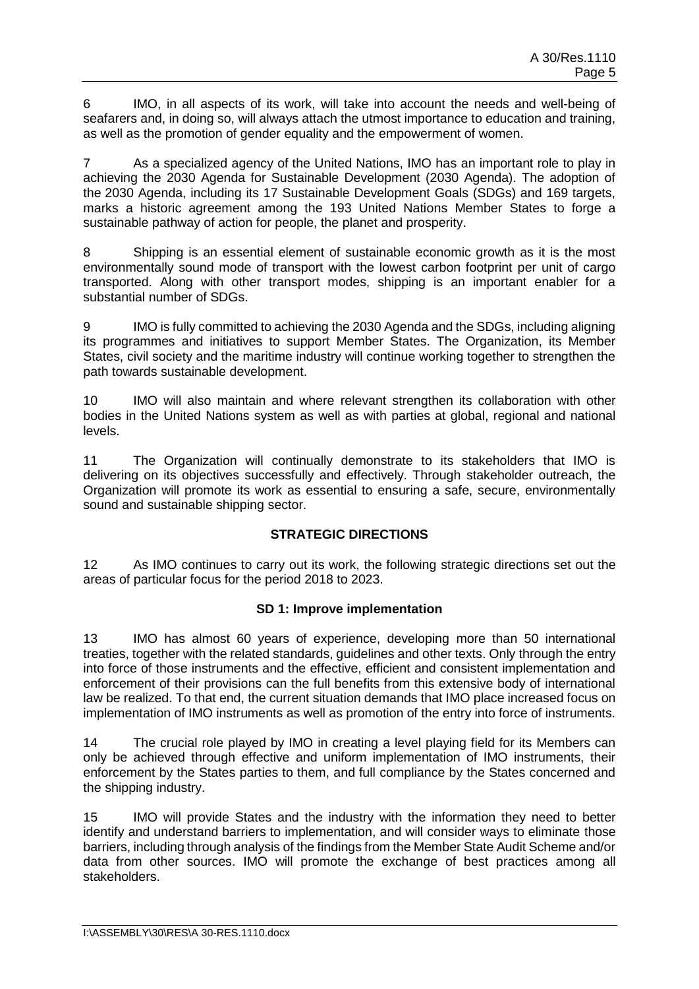6 IMO, in all aspects of its work, will take into account the needs and well-being of seafarers and, in doing so, will always attach the utmost importance to education and training, as well as the promotion of gender equality and the empowerment of women.

7 As a specialized agency of the United Nations, IMO has an important role to play in achieving the 2030 Agenda for Sustainable Development (2030 Agenda). The adoption of the 2030 Agenda, including its 17 Sustainable Development Goals (SDGs) and 169 targets, marks a historic agreement among the 193 United Nations Member States to forge a sustainable pathway of action for people, the planet and prosperity.

8 Shipping is an essential element of sustainable economic growth as it is the most environmentally sound mode of transport with the lowest carbon footprint per unit of cargo transported. Along with other transport modes, shipping is an important enabler for a substantial number of SDGs.

9 IMO is fully committed to achieving the 2030 Agenda and the SDGs, including aligning its programmes and initiatives to support Member States. The Organization, its Member States, civil society and the maritime industry will continue working together to strengthen the path towards sustainable development.

10 IMO will also maintain and where relevant strengthen its collaboration with other bodies in the United Nations system as well as with parties at global, regional and national levels.

11 The Organization will continually demonstrate to its stakeholders that IMO is delivering on its objectives successfully and effectively. Through stakeholder outreach, the Organization will promote its work as essential to ensuring a safe, secure, environmentally sound and sustainable shipping sector.

## **STRATEGIC DIRECTIONS**

12 As IMO continues to carry out its work, the following strategic directions set out the areas of particular focus for the period 2018 to 2023.

## **SD 1: Improve implementation**

13 IMO has almost 60 years of experience, developing more than 50 international treaties, together with the related standards, guidelines and other texts. Only through the entry into force of those instruments and the effective, efficient and consistent implementation and enforcement of their provisions can the full benefits from this extensive body of international law be realized. To that end, the current situation demands that IMO place increased focus on implementation of IMO instruments as well as promotion of the entry into force of instruments.

14 The crucial role played by IMO in creating a level playing field for its Members can only be achieved through effective and uniform implementation of IMO instruments, their enforcement by the States parties to them, and full compliance by the States concerned and the shipping industry.

15 IMO will provide States and the industry with the information they need to better identify and understand barriers to implementation, and will consider ways to eliminate those barriers, including through analysis of the findings from the Member State Audit Scheme and/or data from other sources. IMO will promote the exchange of best practices among all stakeholders.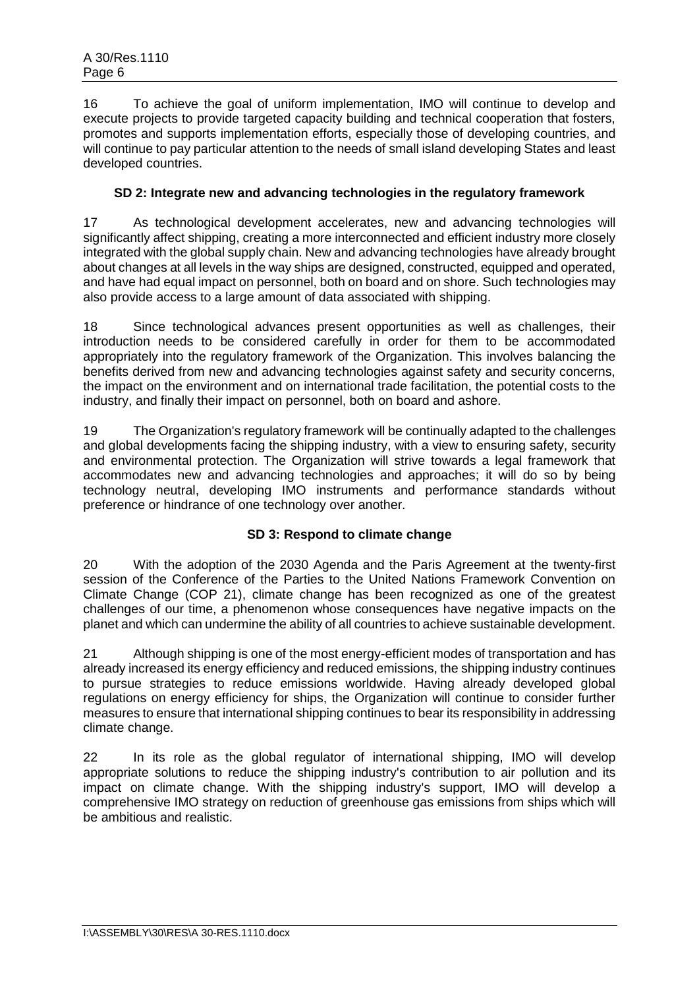16 To achieve the goal of uniform implementation, IMO will continue to develop and execute projects to provide targeted capacity building and technical cooperation that fosters, promotes and supports implementation efforts, especially those of developing countries, and will continue to pay particular attention to the needs of small island developing States and least developed countries.

## **SD 2: Integrate new and advancing technologies in the regulatory framework**

17 As technological development accelerates, new and advancing technologies will significantly affect shipping, creating a more interconnected and efficient industry more closely integrated with the global supply chain. New and advancing technologies have already brought about changes at all levels in the way ships are designed, constructed, equipped and operated, and have had equal impact on personnel, both on board and on shore. Such technologies may also provide access to a large amount of data associated with shipping.

18 Since technological advances present opportunities as well as challenges, their introduction needs to be considered carefully in order for them to be accommodated appropriately into the regulatory framework of the Organization. This involves balancing the benefits derived from new and advancing technologies against safety and security concerns, the impact on the environment and on international trade facilitation, the potential costs to the industry, and finally their impact on personnel, both on board and ashore.

19 The Organization's regulatory framework will be continually adapted to the challenges and global developments facing the shipping industry, with a view to ensuring safety, security and environmental protection. The Organization will strive towards a legal framework that accommodates new and advancing technologies and approaches; it will do so by being technology neutral, developing IMO instruments and performance standards without preference or hindrance of one technology over another.

## **SD 3: Respond to climate change**

20 With the adoption of the 2030 Agenda and the Paris Agreement at the twenty-first session of the Conference of the Parties to the United Nations Framework Convention on Climate Change (COP 21), climate change has been recognized as one of the greatest challenges of our time, a phenomenon whose consequences have negative impacts on the planet and which can undermine the ability of all countries to achieve sustainable development.

21 Although shipping is one of the most energy-efficient modes of transportation and has already increased its energy efficiency and reduced emissions, the shipping industry continues to pursue strategies to reduce emissions worldwide. Having already developed global regulations on energy efficiency for ships, the Organization will continue to consider further measures to ensure that international shipping continues to bear its responsibility in addressing climate change.

22 In its role as the global regulator of international shipping, IMO will develop appropriate solutions to reduce the shipping industry's contribution to air pollution and its impact on climate change. With the shipping industry's support, IMO will develop a comprehensive IMO strategy on reduction of greenhouse gas emissions from ships which will be ambitious and realistic.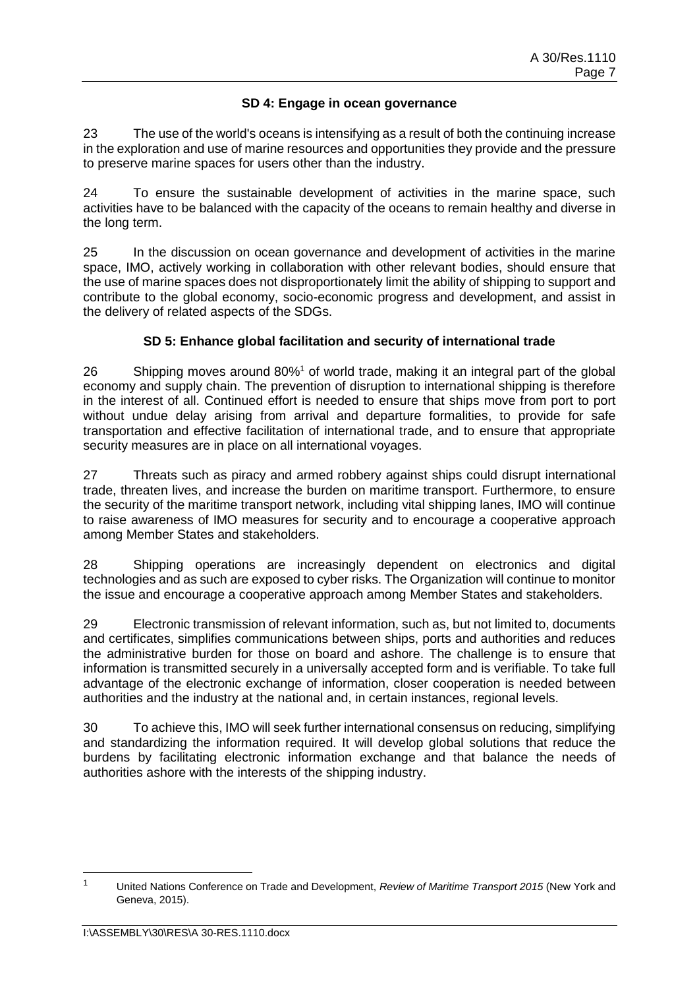## **SD 4: Engage in ocean governance**

23 The use of the world's oceans is intensifying as a result of both the continuing increase in the exploration and use of marine resources and opportunities they provide and the pressure to preserve marine spaces for users other than the industry.

24 To ensure the sustainable development of activities in the marine space, such activities have to be balanced with the capacity of the oceans to remain healthy and diverse in the long term.

25 In the discussion on ocean governance and development of activities in the marine space, IMO, actively working in collaboration with other relevant bodies, should ensure that the use of marine spaces does not disproportionately limit the ability of shipping to support and contribute to the global economy, socio-economic progress and development, and assist in the delivery of related aspects of the SDGs.

## **SD 5: Enhance global facilitation and security of international trade**

26 Shipping moves around 80%<sup>1</sup> of world trade, making it an integral part of the global economy and supply chain. The prevention of disruption to international shipping is therefore in the interest of all. Continued effort is needed to ensure that ships move from port to port without undue delay arising from arrival and departure formalities, to provide for safe transportation and effective facilitation of international trade, and to ensure that appropriate security measures are in place on all international voyages.

27 Threats such as piracy and armed robbery against ships could disrupt international trade, threaten lives, and increase the burden on maritime transport. Furthermore, to ensure the security of the maritime transport network, including vital shipping lanes, IMO will continue to raise awareness of IMO measures for security and to encourage a cooperative approach among Member States and stakeholders.

28 Shipping operations are increasingly dependent on electronics and digital technologies and as such are exposed to cyber risks. The Organization will continue to monitor the issue and encourage a cooperative approach among Member States and stakeholders.

29 Electronic transmission of relevant information, such as, but not limited to, documents and certificates, simplifies communications between ships, ports and authorities and reduces the administrative burden for those on board and ashore. The challenge is to ensure that information is transmitted securely in a universally accepted form and is verifiable. To take full advantage of the electronic exchange of information, closer cooperation is needed between authorities and the industry at the national and, in certain instances, regional levels.

30 To achieve this, IMO will seek further international consensus on reducing, simplifying and standardizing the information required. It will develop global solutions that reduce the burdens by facilitating electronic information exchange and that balance the needs of authorities ashore with the interests of the shipping industry.

<sup>1</sup> United Nations Conference on Trade and Development, *Review of Maritime Transport 2015* (New York and Geneva, 2015).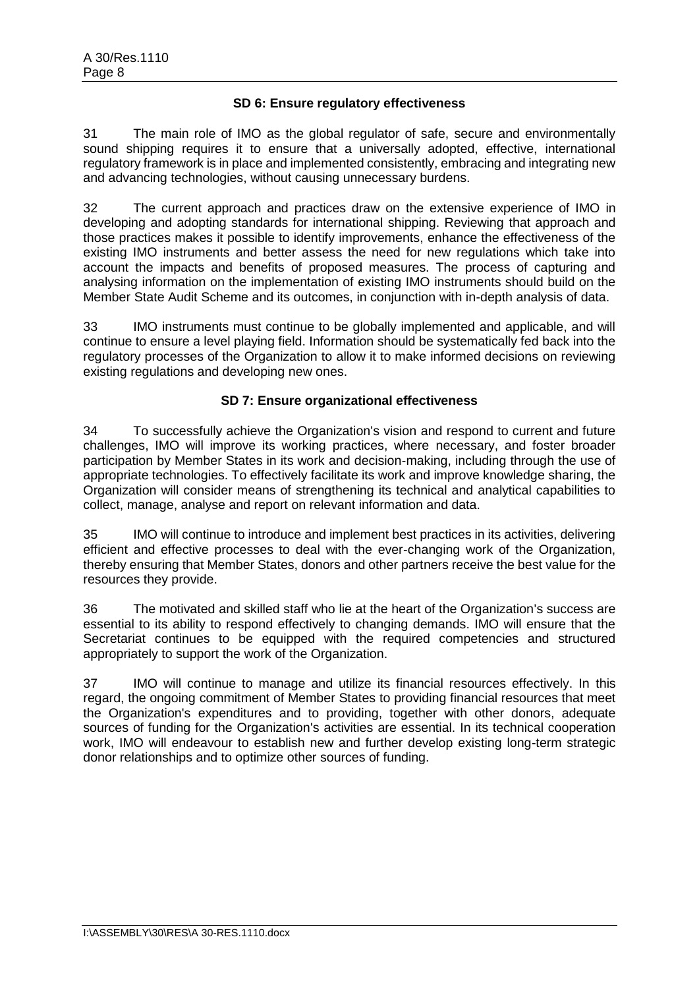### **SD 6: Ensure regulatory effectiveness**

31 The main role of IMO as the global regulator of safe, secure and environmentally sound shipping requires it to ensure that a universally adopted, effective, international regulatory framework is in place and implemented consistently, embracing and integrating new and advancing technologies, without causing unnecessary burdens.

32 The current approach and practices draw on the extensive experience of IMO in developing and adopting standards for international shipping. Reviewing that approach and those practices makes it possible to identify improvements, enhance the effectiveness of the existing IMO instruments and better assess the need for new regulations which take into account the impacts and benefits of proposed measures. The process of capturing and analysing information on the implementation of existing IMO instruments should build on the Member State Audit Scheme and its outcomes, in conjunction with in-depth analysis of data.

33 IMO instruments must continue to be globally implemented and applicable, and will continue to ensure a level playing field. Information should be systematically fed back into the regulatory processes of the Organization to allow it to make informed decisions on reviewing existing regulations and developing new ones.

### **SD 7: Ensure organizational effectiveness**

34 To successfully achieve the Organization's vision and respond to current and future challenges, IMO will improve its working practices, where necessary, and foster broader participation by Member States in its work and decision-making, including through the use of appropriate technologies. To effectively facilitate its work and improve knowledge sharing, the Organization will consider means of strengthening its technical and analytical capabilities to collect, manage, analyse and report on relevant information and data.

35 IMO will continue to introduce and implement best practices in its activities, delivering efficient and effective processes to deal with the ever-changing work of the Organization, thereby ensuring that Member States, donors and other partners receive the best value for the resources they provide.

36 The motivated and skilled staff who lie at the heart of the Organization's success are essential to its ability to respond effectively to changing demands. IMO will ensure that the Secretariat continues to be equipped with the required competencies and structured appropriately to support the work of the Organization.

37 IMO will continue to manage and utilize its financial resources effectively. In this regard, the ongoing commitment of Member States to providing financial resources that meet the Organization's expenditures and to providing, together with other donors, adequate sources of funding for the Organization's activities are essential. In its technical cooperation work, IMO will endeavour to establish new and further develop existing long-term strategic donor relationships and to optimize other sources of funding.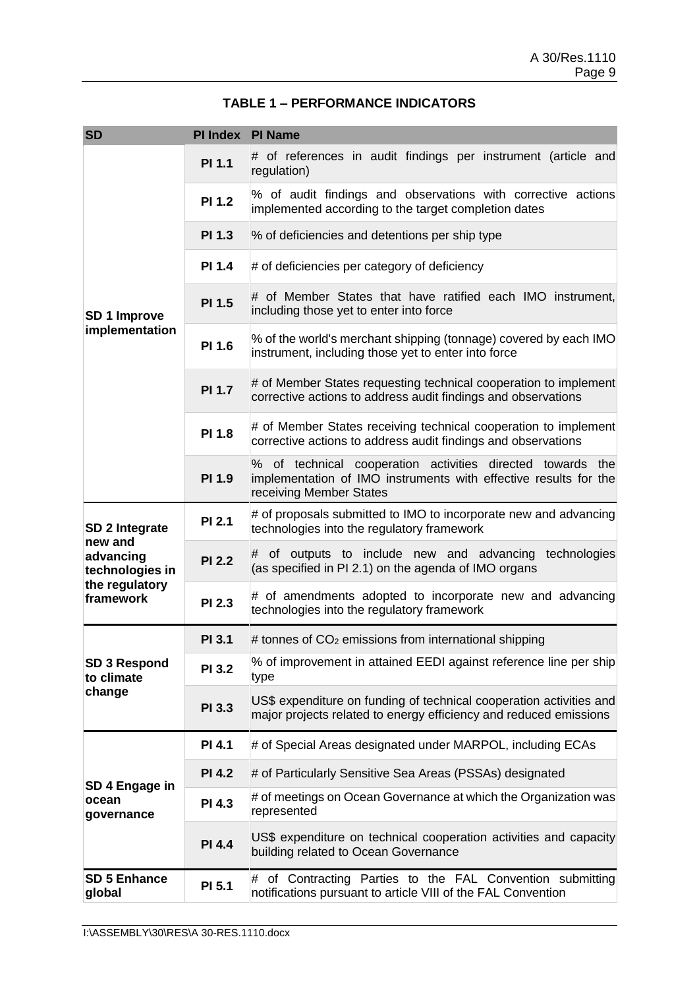| <b>SD</b>                         | PI Index PI Name |                                                                                                                                                           |
|-----------------------------------|------------------|-----------------------------------------------------------------------------------------------------------------------------------------------------------|
|                                   | <b>PI 1.1</b>    | # of references in audit findings per instrument (article and<br>regulation)                                                                              |
|                                   | <b>PI 1.2</b>    | % of audit findings and observations with corrective actions<br>implemented according to the target completion dates                                      |
|                                   | <b>PI 1.3</b>    | % of deficiencies and detentions per ship type                                                                                                            |
|                                   | <b>PI 1.4</b>    | # of deficiencies per category of deficiency                                                                                                              |
| SD 1 Improve                      | PI 1.5           | # of Member States that have ratified each IMO instrument,<br>including those yet to enter into force                                                     |
| implementation                    | PI 1.6           | % of the world's merchant shipping (tonnage) covered by each IMO<br>instrument, including those yet to enter into force                                   |
|                                   | <b>PI 1.7</b>    | # of Member States requesting technical cooperation to implement<br>corrective actions to address audit findings and observations                         |
|                                   | PI 1.8           | # of Member States receiving technical cooperation to implement<br>corrective actions to address audit findings and observations                          |
|                                   | PI 1.9           | % of technical cooperation activities directed towards the<br>implementation of IMO instruments with effective results for the<br>receiving Member States |
| SD 2 Integrate<br>new and         | <b>PI 2.1</b>    | # of proposals submitted to IMO to incorporate new and advancing<br>technologies into the regulatory framework                                            |
| advancing<br>technologies in      | <b>PI 2.2</b>    | # of outputs to include new and advancing<br>technologies<br>(as specified in PI 2.1) on the agenda of IMO organs                                         |
| the regulatory<br>framework       | <b>PI 2.3</b>    | # of amendments adopted to incorporate new and advancing<br>technologies into the regulatory framework                                                    |
|                                   | <b>PI 3.1</b>    | # tonnes of $CO2$ emissions from international shipping                                                                                                   |
| <b>SD 3 Respond</b><br>to climate | PI 3.2           | % of improvement in attained EEDI against reference line per ship<br>type                                                                                 |
| change                            | PI 3.3           | US\$ expenditure on funding of technical cooperation activities and<br>major projects related to energy efficiency and reduced emissions                  |
|                                   | <b>PI 4.1</b>    | # of Special Areas designated under MARPOL, including ECAs                                                                                                |
| SD 4 Engage in                    | <b>PI 4.2</b>    | # of Particularly Sensitive Sea Areas (PSSAs) designated                                                                                                  |
| ocean<br>governance               | <b>PI 4.3</b>    | # of meetings on Ocean Governance at which the Organization was<br>represented                                                                            |
|                                   | <b>PI 4.4</b>    | US\$ expenditure on technical cooperation activities and capacity<br>building related to Ocean Governance                                                 |
| <b>SD 5 Enhance</b><br>global     | PI 5.1           | # of Contracting Parties to the FAL Convention submitting<br>notifications pursuant to article VIII of the FAL Convention                                 |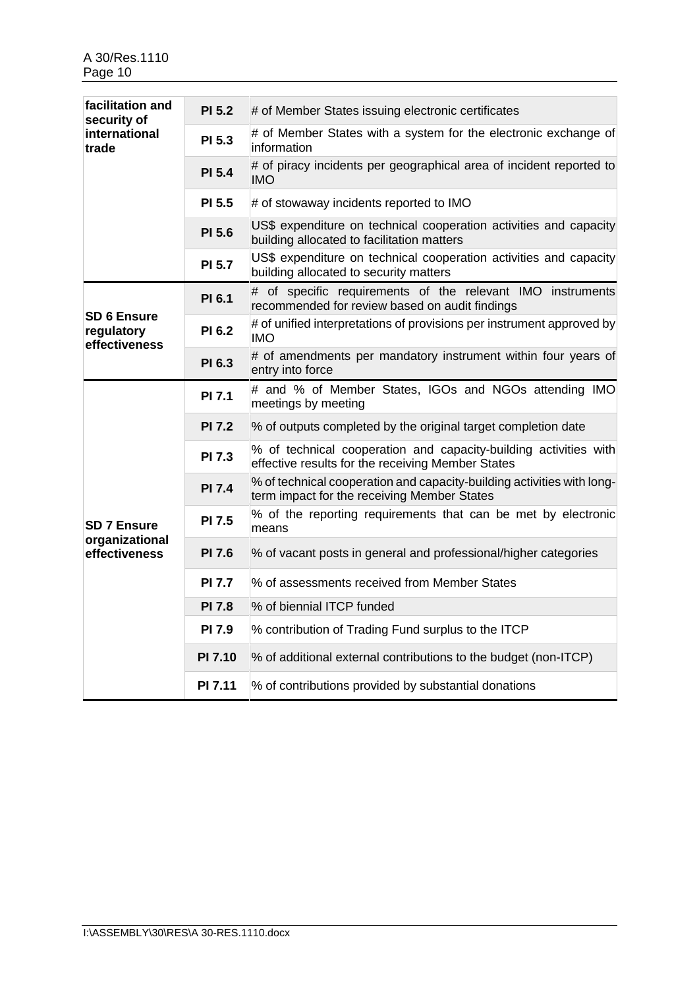| facilitation and<br>security of                   | <b>PI 5.2</b>  | # of Member States issuing electronic certificates                                                                    |
|---------------------------------------------------|----------------|-----------------------------------------------------------------------------------------------------------------------|
| international<br>trade                            | <b>PI 5.3</b>  | # of Member States with a system for the electronic exchange of<br>information                                        |
|                                                   | <b>PI 5.4</b>  | # of piracy incidents per geographical area of incident reported to<br><b>IMO</b>                                     |
|                                                   | <b>PI 5.5</b>  | # of stowaway incidents reported to IMO                                                                               |
|                                                   | PI 5.6         | US\$ expenditure on technical cooperation activities and capacity<br>building allocated to facilitation matters       |
|                                                   | <b>PI 5.7</b>  | US\$ expenditure on technical cooperation activities and capacity<br>building allocated to security matters           |
|                                                   | <b>PI 6.1</b>  | # of specific requirements of the relevant IMO instruments<br>recommended for review based on audit findings          |
| <b>SD 6 Ensure</b><br>regulatory<br>effectiveness | <b>PI 6.2</b>  | # of unified interpretations of provisions per instrument approved by<br>IMO                                          |
|                                                   | PI 6.3         | # of amendments per mandatory instrument within four years of<br>entry into force                                     |
|                                                   | <b>PI 7.1</b>  | # and % of Member States, IGOs and NGOs attending IMO<br>meetings by meeting                                          |
|                                                   | <b>PI 7.2</b>  | % of outputs completed by the original target completion date                                                         |
|                                                   | <b>PI 7.3</b>  | % of technical cooperation and capacity-building activities with<br>effective results for the receiving Member States |
|                                                   | <b>PI 7.4</b>  | % of technical cooperation and capacity-building activities with long-<br>term impact for the receiving Member States |
| <b>SD 7 Ensure</b>                                | <b>PI 7.5</b>  | % of the reporting requirements that can be met by electronic<br>means                                                |
| organizational<br>effectiveness                   | <b>PI 7.6</b>  | % of vacant posts in general and professional/higher categories                                                       |
|                                                   | <b>PI 7.7</b>  | % of assessments received from Member States                                                                          |
|                                                   | <b>PI 7.8</b>  | % of biennial ITCP funded                                                                                             |
|                                                   | PI 7.9         | % contribution of Trading Fund surplus to the ITCP                                                                    |
|                                                   | PI 7.10        | % of additional external contributions to the budget (non-ITCP)                                                       |
|                                                   | <b>PI 7.11</b> | % of contributions provided by substantial donations                                                                  |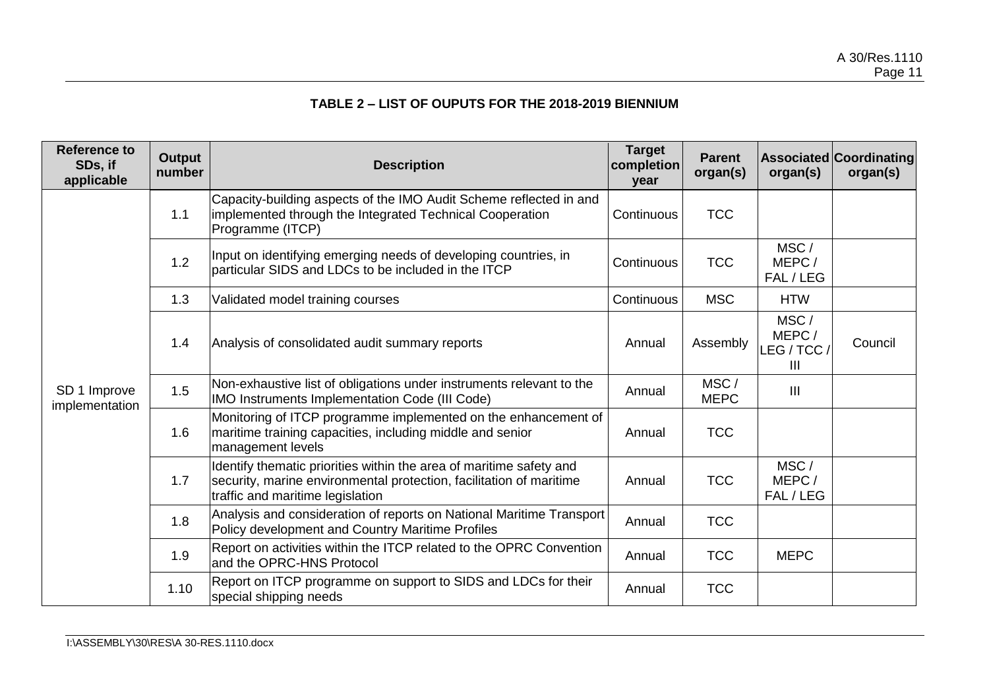# **TABLE 2 – LIST OF OUPUTS FOR THE 2018-2019 BIENNIUM**

| <b>Reference to</b><br>SDs, if<br>applicable | <b>Output</b><br>number | <b>Description</b>                                                                                                                                                             | <b>Target</b><br>completion<br>year | <b>Parent</b><br>organ(s) | organ(s)                       | <b>Associated Coordinating</b><br>organ(s) |
|----------------------------------------------|-------------------------|--------------------------------------------------------------------------------------------------------------------------------------------------------------------------------|-------------------------------------|---------------------------|--------------------------------|--------------------------------------------|
|                                              | 1.1                     | Capacity-building aspects of the IMO Audit Scheme reflected in and<br>implemented through the Integrated Technical Cooperation<br>Programme (ITCP)                             | Continuous                          | <b>TCC</b>                |                                |                                            |
|                                              | 1.2                     | Input on identifying emerging needs of developing countries, in<br>particular SIDS and LDCs to be included in the ITCP                                                         | Continuous                          | <b>TCC</b>                | MSC/<br>MEPC/<br>FAL / LEG     |                                            |
|                                              | 1.3                     | Validated model training courses                                                                                                                                               | Continuous                          | <b>MSC</b>                | <b>HTW</b>                     |                                            |
|                                              | 1.4                     | Analysis of consolidated audit summary reports                                                                                                                                 | Annual                              | Assembly                  | MSC/<br>MEPC/<br>LEG/TCC/<br>Ш | Council                                    |
| SD 1 Improve<br>implementation               | 1.5                     | Non-exhaustive list of obligations under instruments relevant to the<br>IMO Instruments Implementation Code (III Code)                                                         | Annual                              | MSC/<br><b>MEPC</b>       | $\mathbf{III}$                 |                                            |
|                                              | 1.6                     | Monitoring of ITCP programme implemented on the enhancement of<br>maritime training capacities, including middle and senior<br>management levels                               | Annual                              | <b>TCC</b>                |                                |                                            |
|                                              | 1.7                     | Identify thematic priorities within the area of maritime safety and<br>security, marine environmental protection, facilitation of maritime<br>traffic and maritime legislation | Annual                              | <b>TCC</b>                | MSC/<br>MEPC/<br>FAL / LEG     |                                            |
|                                              | 1.8                     | Analysis and consideration of reports on National Maritime Transport<br>Policy development and Country Maritime Profiles                                                       | Annual                              | <b>TCC</b>                |                                |                                            |
|                                              | 1.9                     | Report on activities within the ITCP related to the OPRC Convention<br>and the OPRC-HNS Protocol                                                                               | Annual                              | <b>TCC</b>                | <b>MEPC</b>                    |                                            |
|                                              | 1.10                    | Report on ITCP programme on support to SIDS and LDCs for their<br>special shipping needs                                                                                       | Annual                              | <b>TCC</b>                |                                |                                            |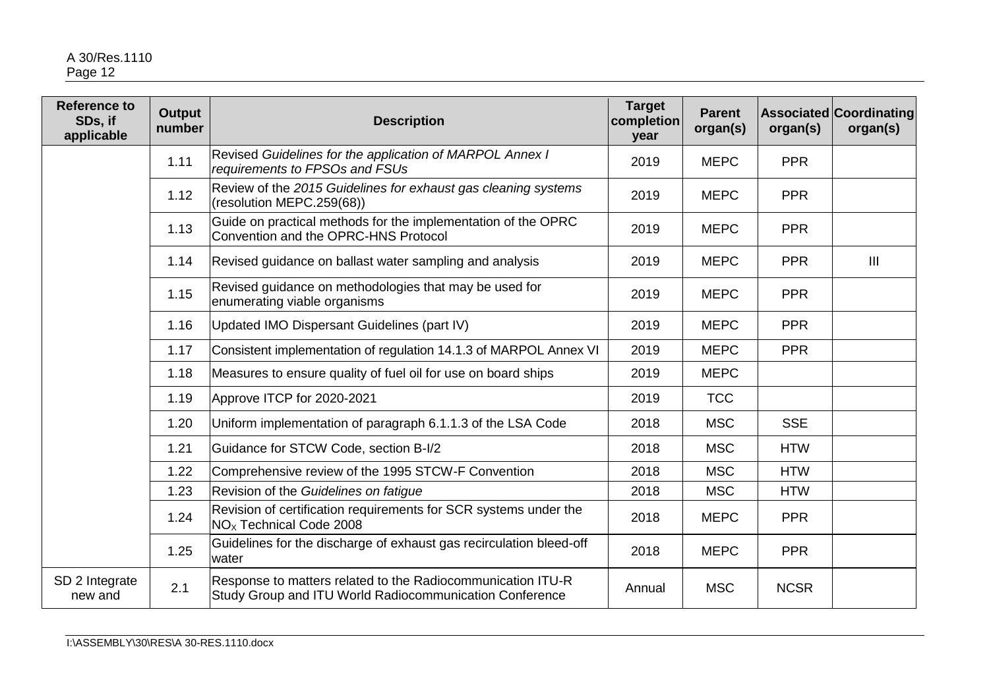## A 30/Res.1110 Page 12

| <b>Reference to</b><br>SDs, if<br>applicable | <b>Output</b><br>number | <b>Description</b>                                                                                                     | <b>Target</b><br>completion<br>year | <b>Parent</b><br>organ(s) | organ(s)    | <b>Associated Coordinating</b><br>organ(s) |
|----------------------------------------------|-------------------------|------------------------------------------------------------------------------------------------------------------------|-------------------------------------|---------------------------|-------------|--------------------------------------------|
|                                              | 1.11                    | Revised Guidelines for the application of MARPOL Annex I<br>requirements to FPSOs and FSUs                             | 2019                                | <b>MEPC</b>               | <b>PPR</b>  |                                            |
|                                              | 1.12                    | Review of the 2015 Guidelines for exhaust gas cleaning systems<br>(resolution MEPC.259(68))                            | 2019                                | <b>MEPC</b>               | <b>PPR</b>  |                                            |
|                                              | 1.13                    | Guide on practical methods for the implementation of the OPRC<br>Convention and the OPRC-HNS Protocol                  | 2019                                | <b>MEPC</b>               | <b>PPR</b>  |                                            |
|                                              | 1.14                    | Revised guidance on ballast water sampling and analysis                                                                | 2019                                | <b>MEPC</b>               | <b>PPR</b>  | $\mathbf{III}$                             |
|                                              | 1.15                    | Revised guidance on methodologies that may be used for<br>enumerating viable organisms                                 | 2019                                | <b>MEPC</b>               | <b>PPR</b>  |                                            |
|                                              | 1.16                    | Updated IMO Dispersant Guidelines (part IV)                                                                            | 2019                                | <b>MEPC</b>               | <b>PPR</b>  |                                            |
|                                              | 1.17                    | Consistent implementation of regulation 14.1.3 of MARPOL Annex VI                                                      | 2019                                | <b>MEPC</b>               | <b>PPR</b>  |                                            |
|                                              | 1.18                    | Measures to ensure quality of fuel oil for use on board ships                                                          | 2019                                | <b>MEPC</b>               |             |                                            |
|                                              | 1.19                    | Approve ITCP for 2020-2021                                                                                             | 2019                                | <b>TCC</b>                |             |                                            |
|                                              | 1.20                    | Uniform implementation of paragraph 6.1.1.3 of the LSA Code                                                            | 2018                                | <b>MSC</b>                | <b>SSE</b>  |                                            |
|                                              | 1.21                    | Guidance for STCW Code, section B-I/2                                                                                  | 2018                                | <b>MSC</b>                | <b>HTW</b>  |                                            |
|                                              | 1.22                    | Comprehensive review of the 1995 STCW-F Convention                                                                     | 2018                                | <b>MSC</b>                | <b>HTW</b>  |                                            |
|                                              | 1.23                    | Revision of the Guidelines on fatigue                                                                                  | 2018                                | <b>MSC</b>                | <b>HTW</b>  |                                            |
|                                              | 1.24                    | Revision of certification requirements for SCR systems under the<br>NO <sub>x</sub> Technical Code 2008                | 2018                                | <b>MEPC</b>               | <b>PPR</b>  |                                            |
|                                              | 1.25                    | Guidelines for the discharge of exhaust gas recirculation bleed-off<br>water                                           | 2018                                | <b>MEPC</b>               | <b>PPR</b>  |                                            |
| SD 2 Integrate<br>new and                    | 2.1                     | Response to matters related to the Radiocommunication ITU-R<br>Study Group and ITU World Radiocommunication Conference | Annual                              | <b>MSC</b>                | <b>NCSR</b> |                                            |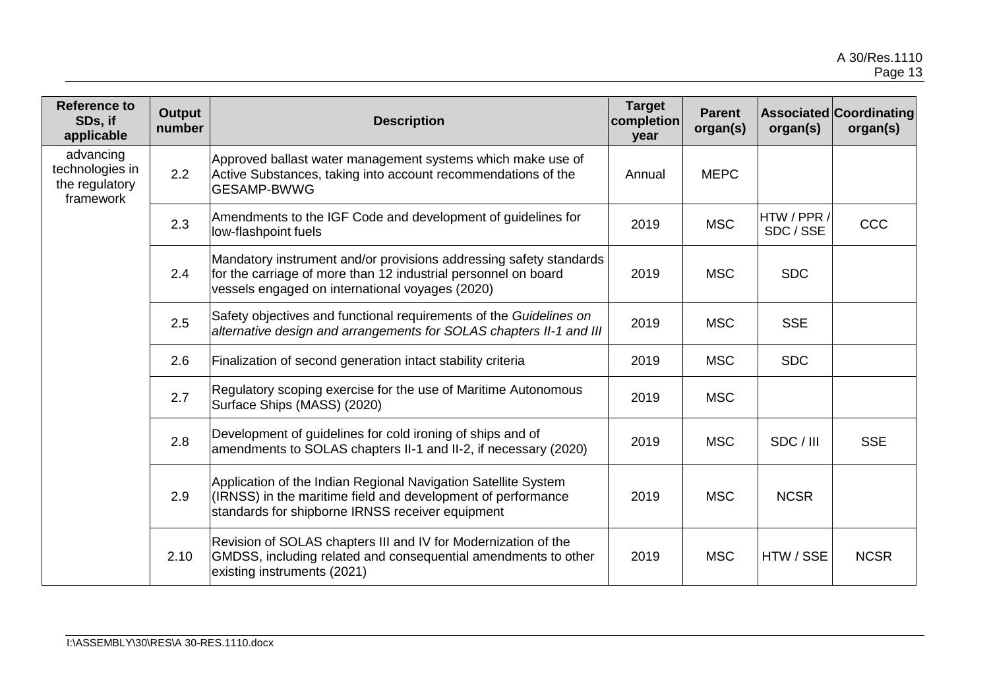| <b>Reference to</b><br>SDs, if<br>applicable                | <b>Output</b><br>number | <b>Description</b>                                                                                                                                                                      | <b>Target</b><br>completion<br>year | <b>Parent</b><br>organ(s) | organ(s)                 | <b>Associated Coordinating</b><br>organ(s) |
|-------------------------------------------------------------|-------------------------|-----------------------------------------------------------------------------------------------------------------------------------------------------------------------------------------|-------------------------------------|---------------------------|--------------------------|--------------------------------------------|
| advancing<br>technologies in<br>the regulatory<br>framework | 2.2                     | Approved ballast water management systems which make use of<br>Active Substances, taking into account recommendations of the<br><b>GESAMP-BWWG</b>                                      | Annual                              | <b>MEPC</b>               |                          |                                            |
|                                                             | 2.3                     | Amendments to the IGF Code and development of guidelines for<br>low-flashpoint fuels                                                                                                    | 2019                                | <b>MSC</b>                | HTW / PPR /<br>SDC / SSE | <b>CCC</b>                                 |
|                                                             | 2.4                     | Mandatory instrument and/or provisions addressing safety standards<br>for the carriage of more than 12 industrial personnel on board<br>vessels engaged on international voyages (2020) | 2019                                | <b>MSC</b>                | <b>SDC</b>               |                                            |
|                                                             | 2.5                     | Safety objectives and functional requirements of the Guidelines on<br>alternative design and arrangements for SOLAS chapters II-1 and III                                               | 2019                                | <b>MSC</b>                | <b>SSE</b>               |                                            |
|                                                             | 2.6                     | Finalization of second generation intact stability criteria                                                                                                                             | 2019                                | <b>MSC</b>                | <b>SDC</b>               |                                            |
|                                                             | 2.7                     | Regulatory scoping exercise for the use of Maritime Autonomous<br>Surface Ships (MASS) (2020)                                                                                           | 2019                                | <b>MSC</b>                |                          |                                            |
|                                                             | 2.8                     | Development of guidelines for cold ironing of ships and of<br>amendments to SOLAS chapters II-1 and II-2, if necessary (2020)                                                           | 2019                                | <b>MSC</b>                | SDC / III                | <b>SSE</b>                                 |
|                                                             | 2.9                     | Application of the Indian Regional Navigation Satellite System<br>(IRNSS) in the maritime field and development of performance<br>standards for shipborne IRNSS receiver equipment      | 2019                                | <b>MSC</b>                | <b>NCSR</b>              |                                            |
|                                                             | 2.10                    | Revision of SOLAS chapters III and IV for Modernization of the<br>GMDSS, including related and consequential amendments to other<br>existing instruments (2021)                         | 2019                                | <b>MSC</b>                | HTW / SSE                | <b>NCSR</b>                                |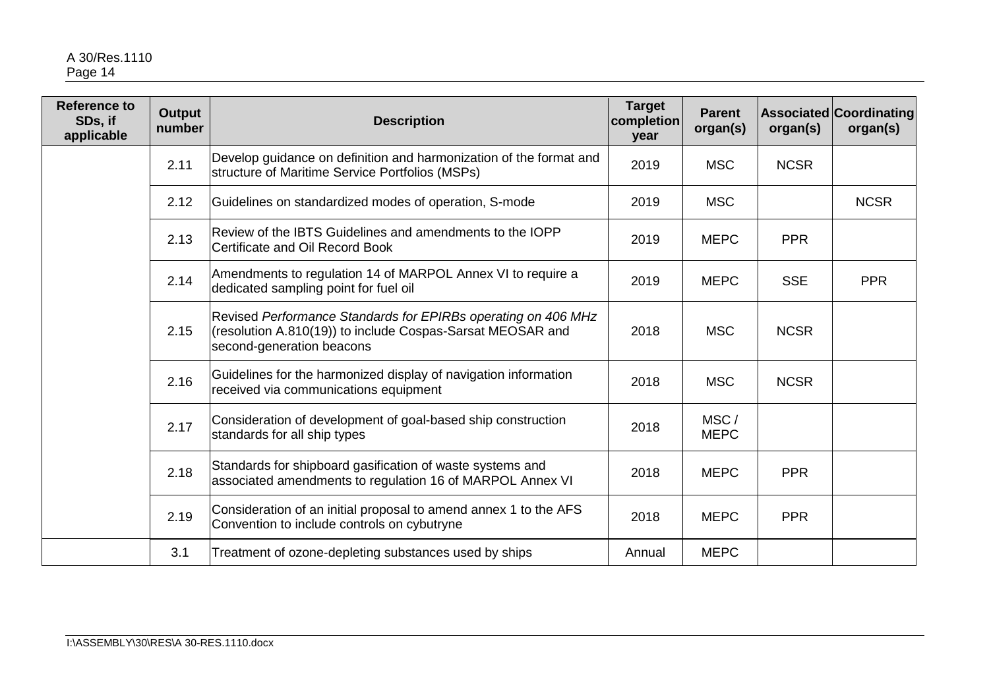| <b>Reference to</b><br>SDs, if<br>applicable | <b>Output</b><br>number | <b>Description</b>                                                                                                                                       | <b>Target</b><br>completion<br>year | <b>Parent</b><br>organ(s) | organ(s)    | <b>Associated Coordinating</b><br>organ(s) |
|----------------------------------------------|-------------------------|----------------------------------------------------------------------------------------------------------------------------------------------------------|-------------------------------------|---------------------------|-------------|--------------------------------------------|
|                                              | 2.11                    | Develop guidance on definition and harmonization of the format and<br>structure of Maritime Service Portfolios (MSPs)                                    | 2019                                | <b>MSC</b>                | <b>NCSR</b> |                                            |
|                                              | 2.12                    | Guidelines on standardized modes of operation, S-mode                                                                                                    | 2019                                | <b>MSC</b>                |             | <b>NCSR</b>                                |
|                                              | 2.13                    | Review of the IBTS Guidelines and amendments to the IOPP<br>Certificate and Oil Record Book                                                              | 2019                                | <b>MEPC</b>               | <b>PPR</b>  |                                            |
|                                              | 2.14                    | Amendments to regulation 14 of MARPOL Annex VI to require a<br>dedicated sampling point for fuel oil                                                     | 2019                                | <b>MEPC</b>               | <b>SSE</b>  | <b>PPR</b>                                 |
|                                              | 2.15                    | Revised Performance Standards for EPIRBs operating on 406 MHz<br>(resolution A.810(19)) to include Cospas-Sarsat MEOSAR and<br>second-generation beacons | 2018                                | <b>MSC</b>                | <b>NCSR</b> |                                            |
|                                              | 2.16                    | Guidelines for the harmonized display of navigation information<br>received via communications equipment                                                 | 2018                                | <b>MSC</b>                | <b>NCSR</b> |                                            |
|                                              | 2.17                    | Consideration of development of goal-based ship construction<br>standards for all ship types                                                             | 2018                                | MSC/<br><b>MEPC</b>       |             |                                            |
|                                              | 2.18                    | Standards for shipboard gasification of waste systems and<br>associated amendments to regulation 16 of MARPOL Annex VI                                   | 2018                                | <b>MEPC</b>               | <b>PPR</b>  |                                            |
|                                              | 2.19                    | Consideration of an initial proposal to amend annex 1 to the AFS<br>Convention to include controls on cybutryne                                          | 2018                                | <b>MEPC</b>               | <b>PPR</b>  |                                            |
|                                              | 3.1                     | Treatment of ozone-depleting substances used by ships                                                                                                    | Annual                              | <b>MEPC</b>               |             |                                            |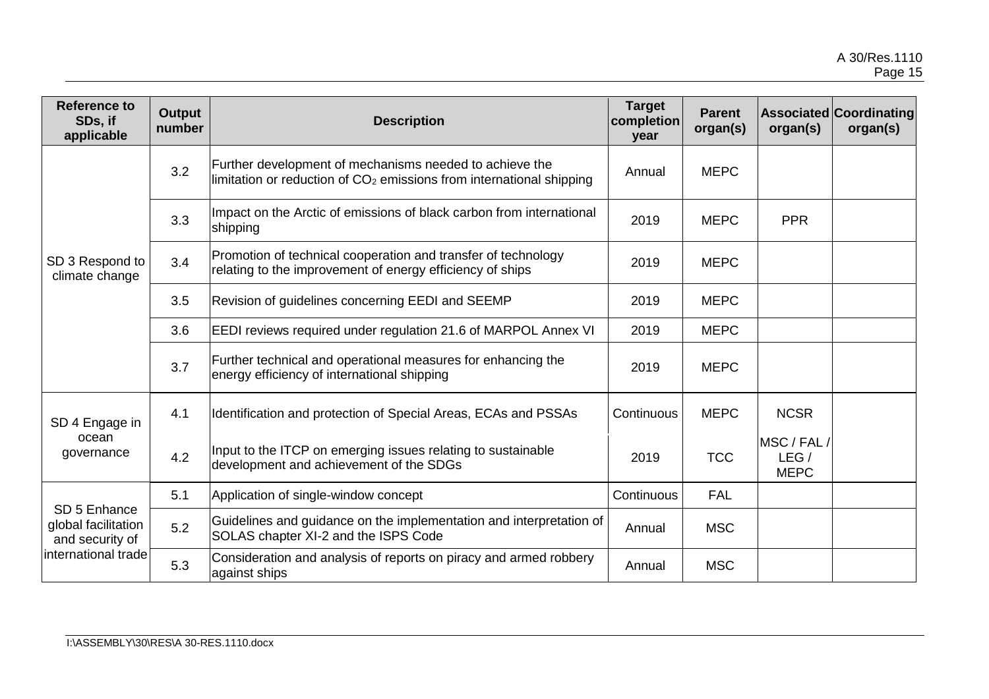| <b>Reference to</b><br>SDs, if<br>applicable           | <b>Output</b><br>number | <b>Description</b>                                                                                                                | <b>Target</b><br>completion<br>year | <b>Parent</b><br>organ(s) | organ(s)                           | <b>Associated Coordinating</b><br>organ(s) |
|--------------------------------------------------------|-------------------------|-----------------------------------------------------------------------------------------------------------------------------------|-------------------------------------|---------------------------|------------------------------------|--------------------------------------------|
|                                                        | 3.2                     | Further development of mechanisms needed to achieve the<br>limitation or reduction of $CO2$ emissions from international shipping | Annual                              | <b>MEPC</b>               |                                    |                                            |
|                                                        | 3.3                     | Impact on the Arctic of emissions of black carbon from international<br>shipping                                                  | 2019                                | <b>MEPC</b>               | <b>PPR</b>                         |                                            |
| SD 3 Respond to<br>climate change                      | 3.4                     | Promotion of technical cooperation and transfer of technology<br>relating to the improvement of energy efficiency of ships        | 2019                                | <b>MEPC</b>               |                                    |                                            |
|                                                        | 3.5                     | Revision of guidelines concerning EEDI and SEEMP                                                                                  | 2019                                | <b>MEPC</b>               |                                    |                                            |
|                                                        | 3.6                     | EEDI reviews required under regulation 21.6 of MARPOL Annex VI                                                                    | 2019                                | <b>MEPC</b>               |                                    |                                            |
|                                                        | 3.7                     | Further technical and operational measures for enhancing the<br>energy efficiency of international shipping                       | 2019                                | <b>MEPC</b>               |                                    |                                            |
| SD 4 Engage in                                         | 4.1                     | Identification and protection of Special Areas, ECAs and PSSAs                                                                    | Continuous                          | <b>MEPC</b>               | <b>NCSR</b>                        |                                            |
| ocean<br>governance                                    | 4.2                     | Input to the ITCP on emerging issues relating to sustainable<br>development and achievement of the SDGs                           | 2019                                | <b>TCC</b>                | MSC / FAL /<br>LEG/<br><b>MEPC</b> |                                            |
|                                                        | 5.1                     | Application of single-window concept                                                                                              | Continuous                          | <b>FAL</b>                |                                    |                                            |
| SD 5 Enhance<br>global facilitation<br>and security of | 5.2                     | Guidelines and guidance on the implementation and interpretation of<br>SOLAS chapter XI-2 and the ISPS Code                       | Annual                              | <b>MSC</b>                |                                    |                                            |
| international trade                                    | 5.3                     | Consideration and analysis of reports on piracy and armed robbery<br>against ships                                                | Annual                              | <b>MSC</b>                |                                    |                                            |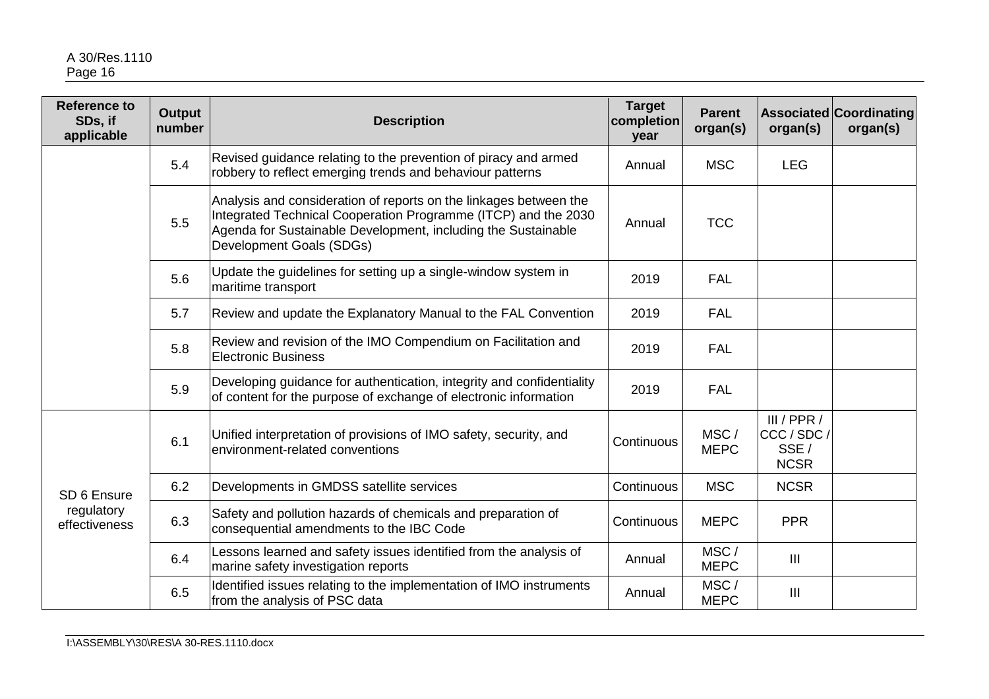| <b>Reference to</b><br>SDs, if<br>applicable | <b>Output</b><br>number | <b>Description</b>                                                                                                                                                                                                               | <b>Target</b><br>completion<br>year | <b>Parent</b><br>organ(s) | organ(s)                                          | <b>Associated Coordinating</b><br>organ(s) |
|----------------------------------------------|-------------------------|----------------------------------------------------------------------------------------------------------------------------------------------------------------------------------------------------------------------------------|-------------------------------------|---------------------------|---------------------------------------------------|--------------------------------------------|
|                                              | 5.4                     | Revised guidance relating to the prevention of piracy and armed<br>robbery to reflect emerging trends and behaviour patterns                                                                                                     | Annual                              | <b>MSC</b>                | <b>LEG</b>                                        |                                            |
|                                              | 5.5                     | Analysis and consideration of reports on the linkages between the<br>Integrated Technical Cooperation Programme (ITCP) and the 2030<br>Agenda for Sustainable Development, including the Sustainable<br>Development Goals (SDGs) | Annual                              | <b>TCC</b>                |                                                   |                                            |
|                                              | 5.6                     | Update the guidelines for setting up a single-window system in<br>maritime transport                                                                                                                                             | 2019                                | <b>FAL</b>                |                                                   |                                            |
|                                              | 5.7                     | Review and update the Explanatory Manual to the FAL Convention                                                                                                                                                                   | 2019                                | <b>FAL</b>                |                                                   |                                            |
|                                              | 5.8                     | Review and revision of the IMO Compendium on Facilitation and<br><b>Electronic Business</b>                                                                                                                                      | 2019                                | <b>FAL</b>                |                                                   |                                            |
|                                              | 5.9                     | Developing guidance for authentication, integrity and confidentiality<br>of content for the purpose of exchange of electronic information                                                                                        | 2019                                | <b>FAL</b>                |                                                   |                                            |
|                                              | 6.1                     | Unified interpretation of provisions of IMO safety, security, and<br>lenvironment-related conventions                                                                                                                            | Continuous                          | MSC/<br><b>MEPC</b>       | III / PPR /<br>CCC / SDC /<br>SSE/<br><b>NCSR</b> |                                            |
| SD 6 Ensure                                  | 6.2                     | Developments in GMDSS satellite services                                                                                                                                                                                         | Continuous                          | <b>MSC</b>                | <b>NCSR</b>                                       |                                            |
| regulatory<br>effectiveness                  | 6.3                     | Safety and pollution hazards of chemicals and preparation of<br>consequential amendments to the IBC Code                                                                                                                         | Continuous                          | <b>MEPC</b>               | <b>PPR</b>                                        |                                            |
|                                              | 6.4                     | Lessons learned and safety issues identified from the analysis of<br>marine safety investigation reports                                                                                                                         | Annual                              | MSC/<br><b>MEPC</b>       | $\mathbf{III}$                                    |                                            |
|                                              | 6.5                     | Identified issues relating to the implementation of IMO instruments<br>from the analysis of PSC data                                                                                                                             | Annual                              | MSC/<br><b>MEPC</b>       | $\mathbf{III}$                                    |                                            |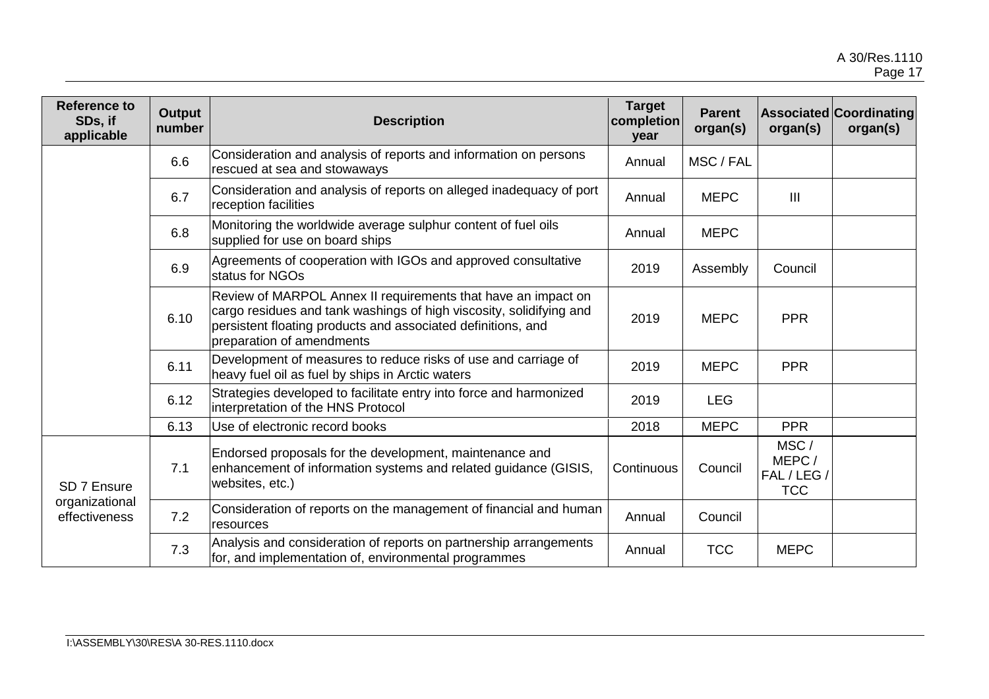| <b>Reference to</b><br>SDs, if<br>applicable   | <b>Output</b><br>number | <b>Description</b>                                                                                                                                                                                                                | <b>Target</b><br>completion<br>year | <b>Parent</b><br>organ(s) | organ(s)                                   | <b>Associated Coordinating</b><br>organ(s) |
|------------------------------------------------|-------------------------|-----------------------------------------------------------------------------------------------------------------------------------------------------------------------------------------------------------------------------------|-------------------------------------|---------------------------|--------------------------------------------|--------------------------------------------|
|                                                | 6.6                     | Consideration and analysis of reports and information on persons<br>rescued at sea and stowaways                                                                                                                                  | Annual                              | MSC / FAL                 |                                            |                                            |
|                                                | 6.7                     | Consideration and analysis of reports on alleged inadequacy of port<br>reception facilities                                                                                                                                       | Annual                              | <b>MEPC</b>               | $\mathbf{III}$                             |                                            |
|                                                | 6.8                     | Monitoring the worldwide average sulphur content of fuel oils<br>supplied for use on board ships                                                                                                                                  | Annual                              | <b>MEPC</b>               |                                            |                                            |
|                                                | 6.9                     | Agreements of cooperation with IGOs and approved consultative<br>status for NGOs                                                                                                                                                  | 2019                                | Assembly                  | Council                                    |                                            |
|                                                | 6.10                    | Review of MARPOL Annex II requirements that have an impact on<br>cargo residues and tank washings of high viscosity, solidifying and<br>persistent floating products and associated definitions, and<br>preparation of amendments | 2019                                | <b>MEPC</b>               | <b>PPR</b>                                 |                                            |
|                                                | 6.11                    | Development of measures to reduce risks of use and carriage of<br>heavy fuel oil as fuel by ships in Arctic waters                                                                                                                | 2019                                | <b>MEPC</b>               | <b>PPR</b>                                 |                                            |
|                                                | 6.12                    | Strategies developed to facilitate entry into force and harmonized<br>interpretation of the HNS Protocol                                                                                                                          | 2019                                | <b>LEG</b>                |                                            |                                            |
|                                                | 6.13                    | Use of electronic record books                                                                                                                                                                                                    | 2018                                | <b>MEPC</b>               | <b>PPR</b>                                 |                                            |
| SD 7 Ensure<br>organizational<br>effectiveness | 7.1                     | Endorsed proposals for the development, maintenance and<br>enhancement of information systems and related guidance (GISIS,<br>websites, etc.)                                                                                     | Continuous                          | Council                   | MSC/<br>MEPC/<br>FAL / LEG /<br><b>TCC</b> |                                            |
|                                                | 7.2                     | Consideration of reports on the management of financial and human<br>resources                                                                                                                                                    | Annual                              | Council                   |                                            |                                            |
|                                                | 7.3                     | Analysis and consideration of reports on partnership arrangements<br>for, and implementation of, environmental programmes                                                                                                         | Annual                              | <b>TCC</b>                | <b>MEPC</b>                                |                                            |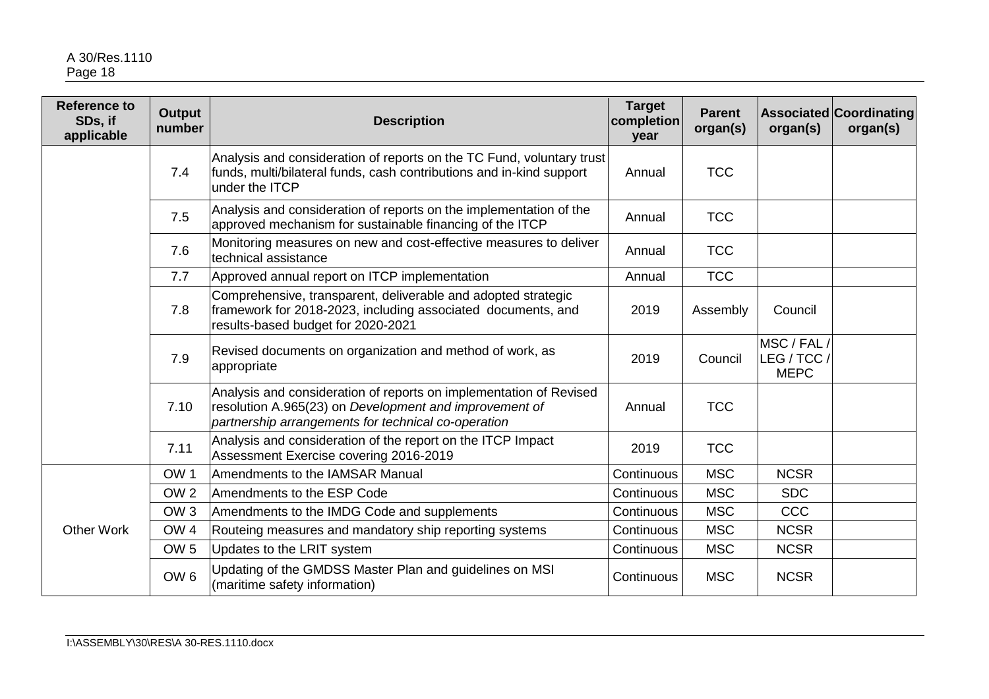| <b>Reference to</b><br>SDs, if<br>applicable | <b>Output</b><br>number | <b>Description</b>                                                                                                                                                                  | <b>Target</b><br>completion<br>year | <b>Parent</b><br>organ(s) | organ(s)                                  | <b>Associated Coordinating</b><br>organ(s) |
|----------------------------------------------|-------------------------|-------------------------------------------------------------------------------------------------------------------------------------------------------------------------------------|-------------------------------------|---------------------------|-------------------------------------------|--------------------------------------------|
|                                              | 7.4                     | Analysis and consideration of reports on the TC Fund, voluntary trust<br>funds, multi/bilateral funds, cash contributions and in-kind support<br>under the ITCP                     | Annual                              | <b>TCC</b>                |                                           |                                            |
|                                              | 7.5                     | Analysis and consideration of reports on the implementation of the<br>approved mechanism for sustainable financing of the ITCP                                                      | Annual                              | <b>TCC</b>                |                                           |                                            |
|                                              | 7.6                     | Monitoring measures on new and cost-effective measures to deliver<br>technical assistance                                                                                           | Annual                              | <b>TCC</b>                |                                           |                                            |
|                                              | 7.7                     | Approved annual report on ITCP implementation                                                                                                                                       | Annual                              | <b>TCC</b>                |                                           |                                            |
|                                              | 7.8                     | Comprehensive, transparent, deliverable and adopted strategic<br>framework for 2018-2023, including associated documents, and<br>results-based budget for 2020-2021                 | 2019                                | Assembly                  | Council                                   |                                            |
|                                              | 7.9                     | Revised documents on organization and method of work, as<br>appropriate                                                                                                             | 2019                                | Council                   | MSC / FAL /<br>LEG / TCC /<br><b>MEPC</b> |                                            |
|                                              | 7.10                    | Analysis and consideration of reports on implementation of Revised<br>resolution A.965(23) on Development and improvement of<br>partnership arrangements for technical co-operation | Annual                              | <b>TCC</b>                |                                           |                                            |
|                                              | 7.11                    | Analysis and consideration of the report on the ITCP Impact<br>Assessment Exercise covering 2016-2019                                                                               | 2019                                | <b>TCC</b>                |                                           |                                            |
|                                              | OW <sub>1</sub>         | Amendments to the IAMSAR Manual                                                                                                                                                     | Continuous                          | <b>MSC</b>                | <b>NCSR</b>                               |                                            |
| <b>Other Work</b>                            | OW <sub>2</sub>         | Amendments to the ESP Code                                                                                                                                                          | Continuous                          | <b>MSC</b>                | <b>SDC</b>                                |                                            |
|                                              | OW <sub>3</sub>         | Amendments to the IMDG Code and supplements                                                                                                                                         | Continuous                          | <b>MSC</b>                | CCC                                       |                                            |
|                                              | OW <sub>4</sub>         | Routeing measures and mandatory ship reporting systems                                                                                                                              | Continuous                          | <b>MSC</b>                | <b>NCSR</b>                               |                                            |
|                                              | OW <sub>5</sub>         | Updates to the LRIT system                                                                                                                                                          | Continuous                          | <b>MSC</b>                | <b>NCSR</b>                               |                                            |
|                                              | OW <sub>6</sub>         | Updating of the GMDSS Master Plan and guidelines on MSI<br>(maritime safety information)                                                                                            | Continuous                          | <b>MSC</b>                | <b>NCSR</b>                               |                                            |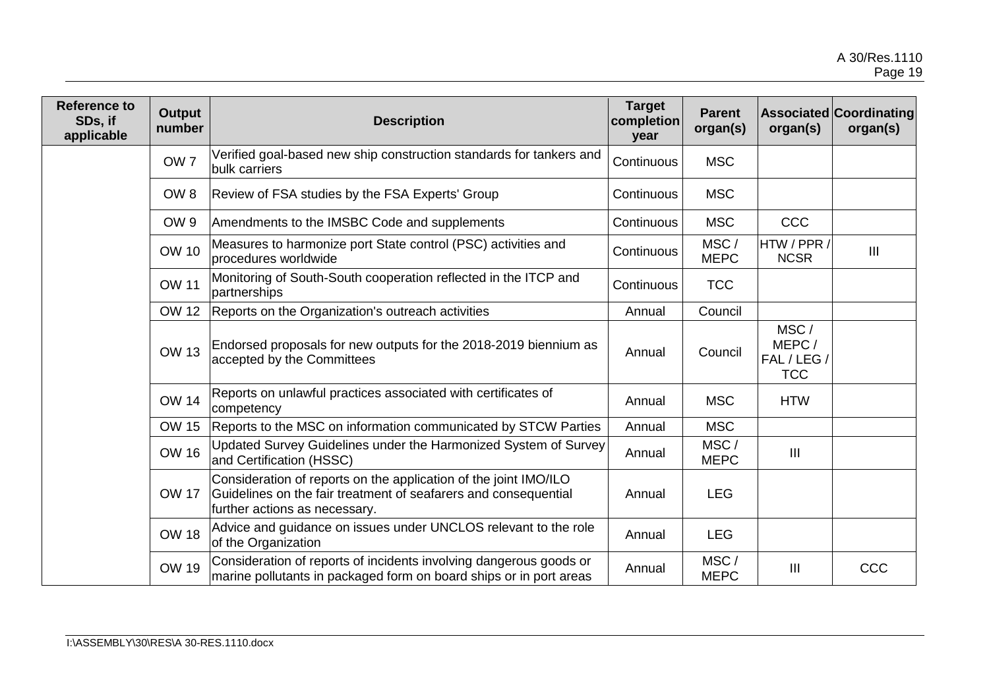| <b>Reference to</b><br>SDs, if<br>applicable | Output<br>number | <b>Description</b>                                                                                                                                                   | <b>Target</b><br>completion<br>year | <b>Parent</b><br>organ(s) | organ(s)                                   | <b>Associated Coordinating</b><br>organ(s) |
|----------------------------------------------|------------------|----------------------------------------------------------------------------------------------------------------------------------------------------------------------|-------------------------------------|---------------------------|--------------------------------------------|--------------------------------------------|
|                                              | OW <sub>7</sub>  | Verified goal-based new ship construction standards for tankers and<br>bulk carriers                                                                                 | Continuous                          | <b>MSC</b>                |                                            |                                            |
|                                              | OW <sub>8</sub>  | Review of FSA studies by the FSA Experts' Group                                                                                                                      | Continuous                          | <b>MSC</b>                |                                            |                                            |
|                                              | OW <sub>9</sub>  | Amendments to the IMSBC Code and supplements                                                                                                                         | Continuous                          | <b>MSC</b>                | CCC                                        |                                            |
|                                              | <b>OW 10</b>     | Measures to harmonize port State control (PSC) activities and<br>procedures worldwide                                                                                | Continuous                          | MSC/<br><b>MEPC</b>       | HTW / PPR /<br><b>NCSR</b>                 | III                                        |
|                                              | <b>OW 11</b>     | Monitoring of South-South cooperation reflected in the ITCP and<br>partnerships                                                                                      | Continuous                          | <b>TCC</b>                |                                            |                                            |
|                                              | <b>OW 12</b>     | Reports on the Organization's outreach activities                                                                                                                    | Annual                              | Council                   |                                            |                                            |
|                                              | <b>OW 13</b>     | Endorsed proposals for new outputs for the 2018-2019 biennium as<br>accepted by the Committees                                                                       | Annual                              | Council                   | MSC/<br>MEPC/<br>FAL / LEG /<br><b>TCC</b> |                                            |
|                                              | <b>OW 14</b>     | Reports on unlawful practices associated with certificates of<br>competency                                                                                          | Annual                              | <b>MSC</b>                | <b>HTW</b>                                 |                                            |
|                                              | <b>OW 15</b>     | Reports to the MSC on information communicated by STCW Parties                                                                                                       | Annual                              | <b>MSC</b>                |                                            |                                            |
|                                              | <b>OW 16</b>     | Updated Survey Guidelines under the Harmonized System of Survey<br>and Certification (HSSC)                                                                          | Annual                              | MSC/<br><b>MEPC</b>       | Ш                                          |                                            |
|                                              | <b>OW 17</b>     | Consideration of reports on the application of the joint IMO/ILO<br>Guidelines on the fair treatment of seafarers and consequential<br>further actions as necessary. | Annual                              | <b>LEG</b>                |                                            |                                            |
|                                              | <b>OW 18</b>     | Advice and guidance on issues under UNCLOS relevant to the role<br>of the Organization                                                                               | Annual                              | <b>LEG</b>                |                                            |                                            |
|                                              | <b>OW 19</b>     | Consideration of reports of incidents involving dangerous goods or<br>marine pollutants in packaged form on board ships or in port areas                             | Annual                              | MSC/<br><b>MEPC</b>       | $\mathbf{III}$                             | CCC                                        |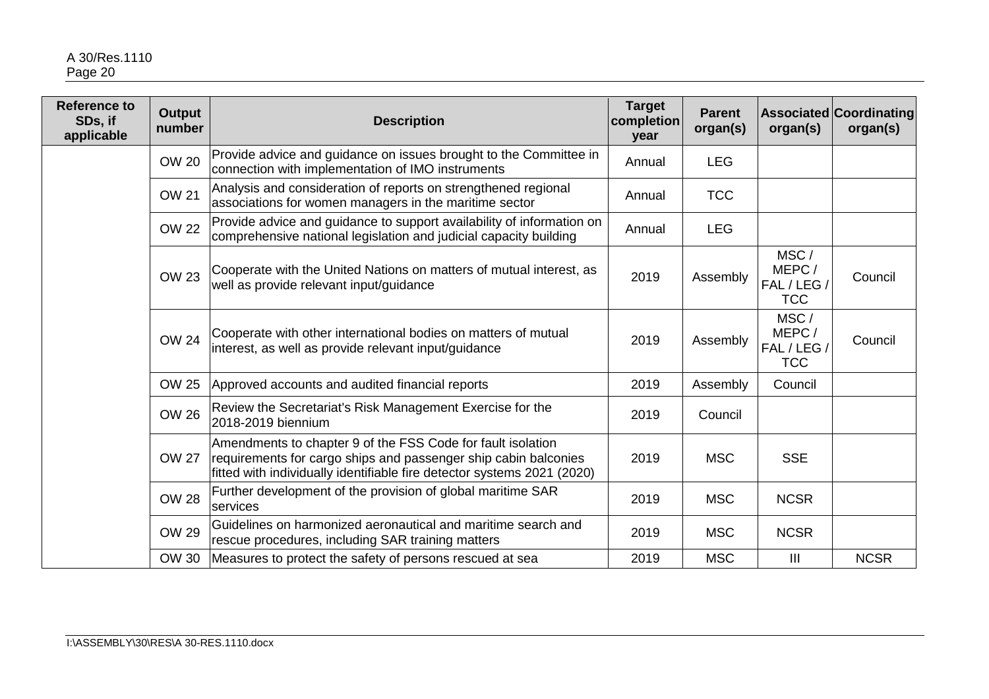| <b>Reference to</b><br>SDs, if<br>applicable | Output<br>number | <b>Description</b>                                                                                                                                                                                        | <b>Target</b><br>completion<br>year | <b>Parent</b><br>organ(s) | organ(s)                                   | <b>Associated Coordinating</b><br>organ(s) |
|----------------------------------------------|------------------|-----------------------------------------------------------------------------------------------------------------------------------------------------------------------------------------------------------|-------------------------------------|---------------------------|--------------------------------------------|--------------------------------------------|
|                                              | <b>OW 20</b>     | Provide advice and guidance on issues brought to the Committee in<br>connection with implementation of IMO instruments                                                                                    | Annual                              | <b>LEG</b>                |                                            |                                            |
|                                              | <b>OW 21</b>     | Analysis and consideration of reports on strengthened regional<br>associations for women managers in the maritime sector                                                                                  | Annual                              | <b>TCC</b>                |                                            |                                            |
|                                              | <b>OW 22</b>     | Provide advice and guidance to support availability of information on<br>comprehensive national legislation and judicial capacity building                                                                | Annual                              | <b>LEG</b>                |                                            |                                            |
|                                              | <b>OW 23</b>     | Cooperate with the United Nations on matters of mutual interest, as<br>well as provide relevant input/guidance                                                                                            | 2019                                | Assembly                  | MSC/<br>MEPC/<br>FAL / LEG /<br><b>TCC</b> | Council                                    |
|                                              | <b>OW 24</b>     | Cooperate with other international bodies on matters of mutual<br>interest, as well as provide relevant input/guidance                                                                                    | 2019                                | Assembly                  | MSC/<br>MEPC/<br>FAL / LEG /<br><b>TCC</b> | Council                                    |
|                                              | OW 25            | Approved accounts and audited financial reports                                                                                                                                                           | 2019                                | Assembly                  | Council                                    |                                            |
|                                              | <b>OW 26</b>     | Review the Secretariat's Risk Management Exercise for the<br>2018-2019 biennium                                                                                                                           | 2019                                | Council                   |                                            |                                            |
|                                              | <b>OW 27</b>     | Amendments to chapter 9 of the FSS Code for fault isolation<br>requirements for cargo ships and passenger ship cabin balconies<br>fitted with individually identifiable fire detector systems 2021 (2020) | 2019                                | <b>MSC</b>                | <b>SSE</b>                                 |                                            |
|                                              | <b>OW 28</b>     | Further development of the provision of global maritime SAR<br>services                                                                                                                                   | 2019                                | <b>MSC</b>                | <b>NCSR</b>                                |                                            |
|                                              | <b>OW 29</b>     | Guidelines on harmonized aeronautical and maritime search and<br>rescue procedures, including SAR training matters                                                                                        | 2019                                | <b>MSC</b>                | <b>NCSR</b>                                |                                            |
|                                              | OW 30            | Measures to protect the safety of persons rescued at sea                                                                                                                                                  | 2019                                | <b>MSC</b>                | $\mathbf{III}$                             | <b>NCSR</b>                                |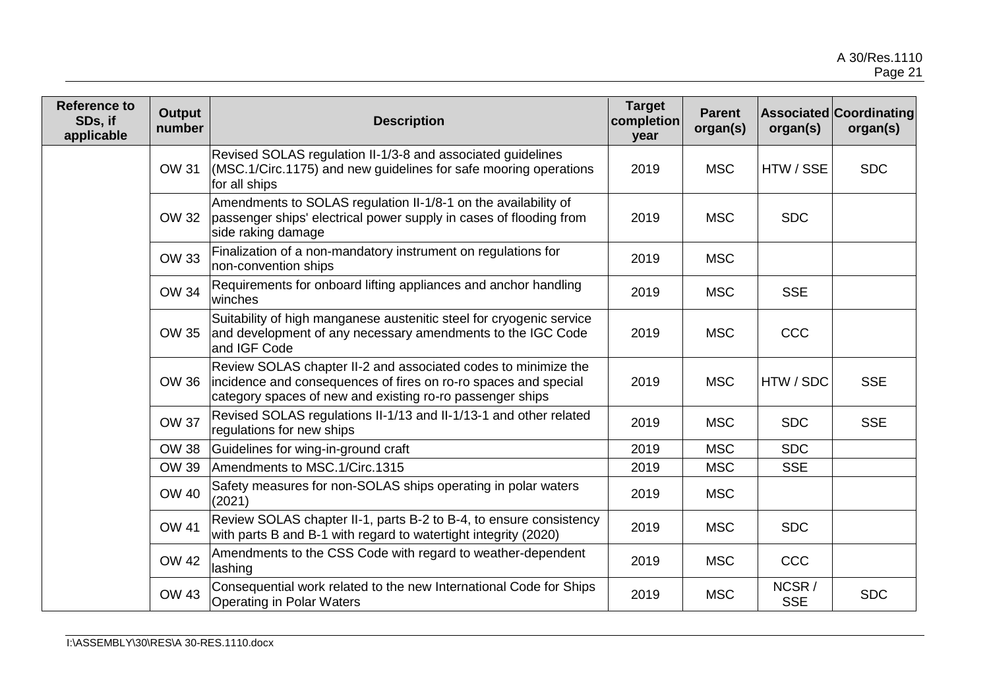| <b>Reference to</b><br>SDs, if<br>applicable | <b>Output</b><br>number | <b>Description</b>                                                                                                                                                                             | <b>Target</b><br>completion<br>year | <b>Parent</b><br>organ(s) | organ(s)            | <b>Associated Coordinating</b><br>organ(s) |
|----------------------------------------------|-------------------------|------------------------------------------------------------------------------------------------------------------------------------------------------------------------------------------------|-------------------------------------|---------------------------|---------------------|--------------------------------------------|
|                                              | <b>OW 31</b>            | Revised SOLAS regulation II-1/3-8 and associated guidelines<br>(MSC.1/Circ.1175) and new guidelines for safe mooring operations<br>for all ships                                               | 2019                                | <b>MSC</b>                | HTW / SSE           | <b>SDC</b>                                 |
|                                              | OW 32                   | Amendments to SOLAS regulation II-1/8-1 on the availability of<br>passenger ships' electrical power supply in cases of flooding from<br>side raking damage                                     | 2019                                | <b>MSC</b>                | <b>SDC</b>          |                                            |
|                                              | <b>OW 33</b>            | Finalization of a non-mandatory instrument on regulations for<br>non-convention ships                                                                                                          | 2019                                | <b>MSC</b>                |                     |                                            |
|                                              | OW 34                   | Requirements for onboard lifting appliances and anchor handling<br>winches                                                                                                                     | 2019                                | <b>MSC</b>                | <b>SSE</b>          |                                            |
|                                              | OW 35                   | Suitability of high manganese austenitic steel for cryogenic service<br>and development of any necessary amendments to the IGC Code<br>and IGF Code                                            | 2019                                | <b>MSC</b>                | <b>CCC</b>          |                                            |
|                                              | OW 36                   | Review SOLAS chapter II-2 and associated codes to minimize the<br>incidence and consequences of fires on ro-ro spaces and special<br>category spaces of new and existing ro-ro passenger ships | 2019                                | <b>MSC</b>                | HTW / SDC           | <b>SSE</b>                                 |
|                                              | <b>OW 37</b>            | Revised SOLAS regulations II-1/13 and II-1/13-1 and other related<br>regulations for new ships                                                                                                 | 2019                                | <b>MSC</b>                | <b>SDC</b>          | <b>SSE</b>                                 |
|                                              | <b>OW 38</b>            | Guidelines for wing-in-ground craft                                                                                                                                                            | 2019                                | <b>MSC</b>                | <b>SDC</b>          |                                            |
|                                              | OW 39                   | Amendments to MSC.1/Circ.1315                                                                                                                                                                  | 2019                                | <b>MSC</b>                | <b>SSE</b>          |                                            |
|                                              | <b>OW 40</b>            | Safety measures for non-SOLAS ships operating in polar waters<br>(2021)                                                                                                                        | 2019                                | <b>MSC</b>                |                     |                                            |
|                                              | <b>OW 41</b>            | Review SOLAS chapter II-1, parts B-2 to B-4, to ensure consistency<br>with parts B and B-1 with regard to watertight integrity (2020)                                                          | 2019                                | <b>MSC</b>                | <b>SDC</b>          |                                            |
|                                              | <b>OW 42</b>            | Amendments to the CSS Code with regard to weather-dependent<br>lashing                                                                                                                         | 2019                                | <b>MSC</b>                | CCC                 |                                            |
|                                              | <b>OW 43</b>            | Consequential work related to the new International Code for Ships<br><b>Operating in Polar Waters</b>                                                                                         | 2019                                | <b>MSC</b>                | NCSR/<br><b>SSE</b> | <b>SDC</b>                                 |